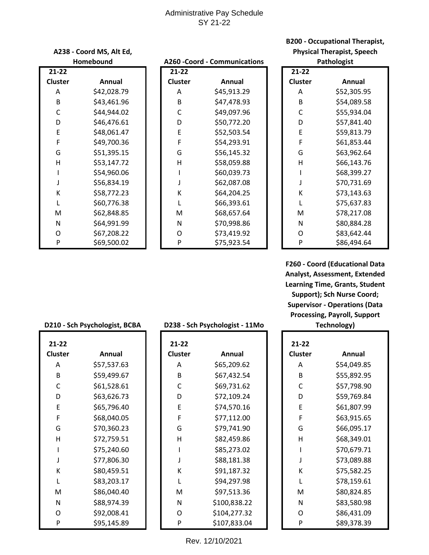# Administrative Pay Schedule SY 21-22

| A238 - Coord MS, Alt Ed, |             |  |  |
|--------------------------|-------------|--|--|
|                          | Homebound   |  |  |
| $21 - 22$                |             |  |  |
| Cluster                  | Annual      |  |  |
| А                        | \$42,028.79 |  |  |
| B                        | \$43,461.96 |  |  |
| C                        | \$44,944.02 |  |  |
| D                        | \$46,476.61 |  |  |
| E                        | \$48,061.47 |  |  |
| F                        | \$49,700.36 |  |  |
| G                        | \$51,395.15 |  |  |
| н                        | \$53,147.72 |  |  |
| ı                        | \$54,960.06 |  |  |
| J                        | \$56,834.19 |  |  |
| K                        | \$58,772.23 |  |  |
| L                        | \$60,776.38 |  |  |
| M                        | \$62,848.85 |  |  |
| N                        | \$64,991.99 |  |  |
| O                        | \$67,208.22 |  |  |
| P                        | \$69,500.02 |  |  |
|                          |             |  |  |

#### **Homebound A260 -Coord - Communications**

| $-22$ |             | $\overline{2}$ 1-22 |             | $21 - 22$      |             |
|-------|-------------|---------------------|-------------|----------------|-------------|
| ıster | Annual      | Cluster             | Annual      | <b>Cluster</b> | Annual      |
| A     | \$42,028.79 | A                   | \$45,913.29 | A              | \$52,305.95 |
| B     | \$43,461.96 | B                   | \$47,478.93 | B              | \$54,089.58 |
| C     | \$44,944.02 | C                   | \$49,097.96 | C              | \$55,934.04 |
| D     | \$46,476.61 | D                   | \$50,772.20 | D              | \$57,841.40 |
| E     | \$48,061.47 | E                   | \$52,503.54 | E              | \$59,813.79 |
| F     | \$49,700.36 | F                   | \$54,293.91 | F              | \$61,853.44 |
| G     | \$51,395.15 | G                   | \$56,145.32 | G              | \$63,962.64 |
| н     | \$53,147.72 | H                   | \$58,059.88 | Н              | \$66,143.76 |
|       | \$54,960.06 |                     | \$60,039.73 |                | \$68,399.27 |
| J     | \$56,834.19 |                     | \$62,087.08 |                | \$70,731.69 |
| К     | \$58,772.23 | К                   | \$64,204.25 | К              | \$73,143.63 |
| L     | \$60,776.38 |                     | \$66,393.61 |                | \$75,637.83 |
| M     | \$62,848.85 | M                   | \$68,657.64 | M              | \$78,217.08 |
| Ν     | \$64,991.99 | N                   | \$70,998.86 | N              | \$80,884.28 |
| O     | \$67,208.22 | O                   | \$73,419.92 | O              | \$83,642.44 |
| P     | \$69,500.02 | P                   | \$75,923.54 | P              | \$86,494.64 |

# **B200 - Occupational Therapist, Physical Therapist, Speech**

| Pathologist |             |  |  |  |  |
|-------------|-------------|--|--|--|--|
| 21-22       |             |  |  |  |  |
| Cluster     | Annual      |  |  |  |  |
| Α           | \$52,305.95 |  |  |  |  |
| B           | \$54,089.58 |  |  |  |  |
| Ċ           | \$55,934.04 |  |  |  |  |
| D           | \$57,841.40 |  |  |  |  |
| E           | \$59,813.79 |  |  |  |  |
| F           | \$61,853.44 |  |  |  |  |
| G           | \$63,962.64 |  |  |  |  |
| н           | \$66,143.76 |  |  |  |  |
| ı           | \$68,399.27 |  |  |  |  |
| J           | \$70,731.69 |  |  |  |  |
| K           | \$73,143.63 |  |  |  |  |
| L           | \$75,637.83 |  |  |  |  |
| м           | \$78,217.08 |  |  |  |  |
| N           | \$80,884.28 |  |  |  |  |
| O           | \$83,642.44 |  |  |  |  |
| P           | \$86,494.64 |  |  |  |  |

**F260 - Coord (Educational Data Analyst, Assessment, Extended Learning Time, Grants, Student Support); Sch Nurse Coord; Supervisor - Operations (Data Processing, Payroll, Support** 

#### **D210 - Sch Psychologist, BCBA**

| 21-22                    |             |
|--------------------------|-------------|
| <b>Cluster</b>           | Annual      |
| А                        | \$57,537.63 |
| R                        | \$59,499.67 |
| C                        | \$61,528.61 |
| D                        | \$63,626.73 |
| F                        | \$65,796.40 |
| F                        | \$68,040.05 |
| G                        | \$70,360.23 |
| н                        | \$72,759.51 |
| ı                        | \$75,240.60 |
| $\overline{\phantom{a}}$ | \$77,806.30 |
| К                        | \$80,459.51 |
| L                        | \$83,203.17 |
| M                        | \$86,040.40 |
| N                        | \$88,974.39 |
| O                        | \$92,008.41 |
| P                        | \$95,145.89 |

#### **D238 - Sch Psychologist - 11Mo Technology)**

| $-22$ |             | $21 - 22$      |              | $21 - 22$      |             |
|-------|-------------|----------------|--------------|----------------|-------------|
| ıster | Annual      | <b>Cluster</b> | Annual       | <b>Cluster</b> | Annual      |
| A     | \$57,537.63 | A              | \$65,209.62  | A              | \$54,049.85 |
| B     | \$59,499.67 | B              | \$67,432.54  | B              | \$55,892.95 |
| C     | \$61,528.61 | C              | \$69,731.62  | C              | \$57,798.90 |
| D     | \$63,626.73 | D              | \$72,109.24  | D              | \$59,769.84 |
| E     | \$65,796.40 | E              | \$74,570.16  | E              | \$61,807.99 |
| F     | \$68,040.05 | F              | \$77,112.00  | F              | \$63,915.65 |
| G     | \$70,360.23 | G              | \$79,741.90  | G              | \$66,095.17 |
| н     | \$72,759.51 | H              | \$82,459.86  | Н              | \$68,349.01 |
| I     | \$75,240.60 |                | \$85,273.02  |                | \$70,679.71 |
| J     | \$77,806.30 |                | \$88,181.38  |                | \$73,089.88 |
| К     | \$80,459.51 | К              | \$91,187.32  | К              | \$75,582.25 |
| L     | \$83,203.17 |                | \$94,297.98  |                | \$78,159.61 |
| M     | \$86,040.40 | M              | \$97,513.36  | M              | \$80,824.85 |
| Ν     | \$88,974.39 | N              | \$100,838.22 | N              | \$83,580.98 |
| O     | \$92,008.41 | 0              | \$104,277.32 | O              | \$86,431.09 |
| P     | \$95,145.89 | P              | \$107,833.04 | P              | \$89,378.39 |
|       |             |                |              |                |             |

| 21-22   |             |
|---------|-------------|
| Cluster | Annual      |
| А       | \$54,049.85 |
| B       | \$55,892.95 |
| C       | \$57,798.90 |
| D       | \$59,769.84 |
| F       | \$61,807.99 |
| F       | \$63,915.65 |
| G       | \$66,095.17 |
| н       | \$68,349.01 |
| ı       | \$70,679.71 |
| J       | \$73,089.88 |
| К       | \$75,582.25 |
| L       | \$78,159.61 |
| м       | \$80,824.85 |
| Ν       | \$83,580.98 |
| റ       | \$86,431.09 |
| P       | \$89,378.39 |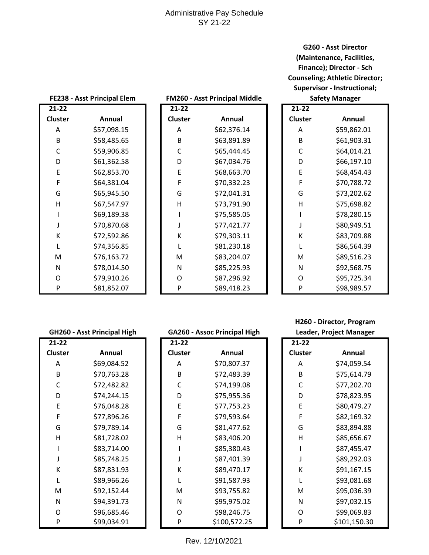## Administrative Pay Schedule SY 21-22

**G260 - Asst Director (Maintenance, Facilities, Finance); Director - Sch Counseling; Athletic Director; Supervisor - Instructional;** 

| FE238 - Asst Principal Elem |             | FM260 - Asst Principal Middle |           |             | <b>Safety Manager</b> |             |
|-----------------------------|-------------|-------------------------------|-----------|-------------|-----------------------|-------------|
| $21 - 22$                   |             |                               | $21 - 22$ |             | $21 - 22$             |             |
| <b>Cluster</b>              | Annual      |                               | Cluster   | Annual      | <b>Cluster</b>        | Annual      |
| A                           | \$57,098.15 |                               | A         | \$62,376.14 | A                     | \$59,862.01 |
| B                           | \$58,485.65 |                               | B         | \$63,891.89 | B                     | \$61,903.31 |
| $\mathsf{C}$                | \$59,906.85 |                               | C         | \$65,444.45 | $\mathsf{C}$          | \$64,014.21 |
| D                           | \$61,362.58 |                               | D         | \$67,034.76 | D                     | \$66,197.10 |
| E                           | \$62,853.70 |                               | E         | \$68,663.70 | E                     | \$68,454.43 |
| F                           | \$64,381.04 |                               | F         | \$70,332.23 | F                     | \$70,788.72 |
| G                           | \$65,945.50 |                               | G         | \$72,041.31 | G                     | \$73,202.62 |
| $\mathsf{H}$                | \$67,547.97 |                               | H         | \$73,791.90 | H                     | \$75,698.82 |
|                             | \$69,189.38 |                               |           | \$75,585.05 |                       | \$78,280.15 |
|                             | \$70,870.68 |                               |           | \$77,421.77 |                       | \$80,949.51 |
| К                           | \$72,592.86 |                               | К         | \$79,303.11 | К                     | \$83,709.88 |
| L                           | \$74,356.85 |                               |           | \$81,230.18 |                       | \$86,564.39 |
| M                           | \$76,163.72 |                               | M         | \$83,204.07 | M                     | \$89,516.23 |
| ${\sf N}$                   | \$78,014.50 |                               | N         | \$85,225.93 | N                     | \$92,568.75 |
| $\circ$                     | \$79,910.26 |                               | O         | \$87,296.92 | O                     | \$95,725.34 |
| $\mathsf{P}$                | \$81,852.07 |                               | P         | \$89,418.23 | P                     | \$98,989.57 |

| FM260 - Asst Principal Middle |  |  |  |  |  |
|-------------------------------|--|--|--|--|--|
|-------------------------------|--|--|--|--|--|

| 21-22          |             |
|----------------|-------------|
| <b>Cluster</b> | Annual      |
| Α              | \$62,376.14 |
| В              | \$63,891.89 |
| C              | \$65,444.45 |
| D              | \$67,034.76 |
| F              | \$68,663.70 |
| F              | \$70,332.23 |
| G              | \$72,041.31 |
| н              | \$73,791.90 |
| ı              | \$75,585.05 |
| J              | \$77,421.77 |
| К              | \$79,303.11 |
| L              | \$81,230.18 |
| M              | \$83,204.07 |
| Ν              | \$85,225.93 |
| O              | \$87,296.92 |
| P              | \$89,418.23 |

| $21 - 22$ |             |
|-----------|-------------|
| Cluster   | Annual      |
| Α         | \$59,862.01 |
| В         | \$61,903.31 |
| C         | \$64,014.21 |
| D         | \$66,197.10 |
| E         | \$68,454.43 |
| F         | \$70,788.72 |
| G         | \$73,202.62 |
| н         | \$75,698.82 |
| ı         | \$78,280.15 |
| J         | \$80,949.51 |
| K         | \$83,709.88 |
| L         | \$86,564.39 |
| M         | \$89,516.23 |
| N         | \$92,568.75 |
| O         | \$95,725.34 |
| P         | \$98,989.57 |

| 21-22   |             |
|---------|-------------|
| Cluster | Annual      |
| А       | \$69,084.52 |
| В       | \$70,763.28 |
| C       | \$72,482.82 |
| D       | \$74,244.15 |
| E       | \$76,048.28 |
| F       | \$77,896.26 |
| G       | \$79,789.14 |
| н       | \$81,728.02 |
| ı       | \$83,714.00 |
| J       | \$85,748.25 |
| K       | \$87,831.93 |
| L       | \$89,966.26 |
| M       | \$92,152.44 |
| N       | \$94,391.73 |
| O       | \$96,685.46 |
| P       | \$99,034.91 |

#### **GH260 - Asst Principal High GA260 - Assoc Principal High**

A \$70,807.37 B \$72,483.39 C \$74,199.08 D \$75,955.36 E \$77,753.23 F \$79,593.64 G \$81,477.62 H \$83,406.20 I \$85,380.43 J \$87,401.39 K \$89,470.17 L \$91,587.93 M \$93,755.82 N \$95,975.02 O \$98,246.75 P \$100,572.25

**Cluster Annual**

**21-22** 

**H260 - Director, Program** 

| Leader, Project Manager |              |  |  |  |  |
|-------------------------|--------------|--|--|--|--|
| 21-22                   |              |  |  |  |  |
| <b>Cluster</b>          | Annual       |  |  |  |  |
| А                       | \$74,059.54  |  |  |  |  |
| B                       | \$75,614.79  |  |  |  |  |
| C                       | \$77,202.70  |  |  |  |  |
| D                       | \$78,823.95  |  |  |  |  |
| E                       | \$80,479.27  |  |  |  |  |
| F                       | \$82,169.32  |  |  |  |  |
| G                       | \$83,894.88  |  |  |  |  |
| н                       | \$85,656.67  |  |  |  |  |
| ı                       | \$87,455.47  |  |  |  |  |
| J                       | \$89,292.03  |  |  |  |  |
| K                       | \$91,167.15  |  |  |  |  |
| L                       | \$93,081.68  |  |  |  |  |
| M                       | \$95,036.39  |  |  |  |  |
| N                       | \$97,032.15  |  |  |  |  |
| O                       | \$99,069.83  |  |  |  |  |
| P                       | \$101,150.30 |  |  |  |  |